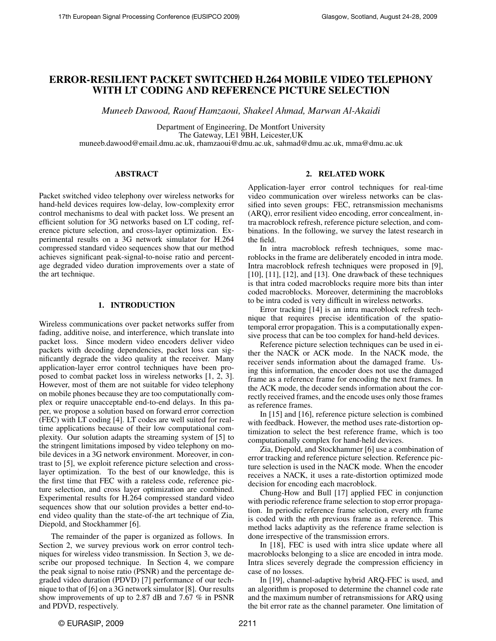# ERROR-RESILIENT PACKET SWITCHED H.264 MOBILE VIDEO TELEPHONY WITH LT CODING AND REFERENCE PICTURE SELECTION

*Muneeb Dawood, Raouf Hamzaoui, Shakeel Ahmad, Marwan Al-Akaidi*

Department of Engineering, De Montfort University The Gateway, LE1 9BH, Leicester,UK muneeb.dawood@email.dmu.ac.uk, rhamzaoui@dmu.ac.uk, sahmad@dmu.ac.uk, mma@dmu.ac.uk

## ABSTRACT

Packet switched video telephony over wireless networks for hand-held devices requires low-delay, low-complexity error control mechanisms to deal with packet loss. We present an efficient solution for 3G networks based on LT coding, reference picture selection, and cross-layer optimization. Experimental results on a 3G network simulator for H.264 compressed standard video sequences show that our method achieves significant peak-signal-to-noise ratio and percentage degraded video duration improvements over a state of the art technique.

### 1. INTRODUCTION

Wireless communications over packet networks suffer from fading, additive noise, and interference, which translate into packet loss. Since modern video encoders deliver video packets with decoding dependencies, packet loss can significantly degrade the video quality at the receiver. Many application-layer error control techniques have been proposed to combat packet loss in wireless networks [1, 2, 3]. However, most of them are not suitable for video telephony on mobile phones because they are too computationally complex or require unacceptable end-to-end delays. In this paper, we propose a solution based on forward error correction (FEC) with LT coding [4]. LT codes are well suited for realtime applications because of their low computational complexity. Our solution adapts the streaming system of [5] to the stringent limitations imposed by video telephony on mobile devices in a 3G network environment. Moreover, in contrast to [5], we exploit reference picture selection and crosslayer optimization. To the best of our knowledge, this is the first time that FEC with a rateless code, reference picture selection, and cross layer optimization are combined. Experimental results for H.264 compressed standard video sequences show that our solution provides a better end-toend video quality than the state-of-the art technique of Zia, Diepold, and Stockhammer [6].

The remainder of the paper is organized as follows. In Section 2, we survey previous work on error control techniques for wireless video transmission. In Section 3, we describe our proposed technique. In Section 4, we compare the peak signal to noise ratio (PSNR) and the percentage degraded video duration (PDVD) [7] performance of our technique to that of [6] on a 3G network simulator [8]. Our results show improvements of up to 2.87 dB and 7.67 % in PSNR and PDVD, respectively.

## 2. RELATED WORK

Application-layer error control techniques for real-time video communication over wireless networks can be classified into seven groups: FEC, retransmission mechanisms (ARQ), error resilient video encoding, error concealment, intra macroblock refresh, reference picture selection, and combinations. In the following, we survey the latest research in the field.

In intra macroblock refresh techniques, some macroblocks in the frame are deliberately encoded in intra mode. Intra macroblock refresh techniques were proposed in [9], [10], [11], [12], and [13]. One drawback of these techniques is that intra coded macroblocks require more bits than inter coded macroblocks. Moreover, determining the macrobloks to be intra coded is very difficult in wireless networks.

Error tracking [14] is an intra macroblock refresh technique that requires precise identification of the spatiotemporal error propagation. This is a computationally expensive process that can be too complex for hand-held devices.

Reference picture selection techniques can be used in either the NACK or ACK mode. In the NACK mode, the receiver sends information about the damaged frame. Using this information, the encoder does not use the damaged frame as a reference frame for encoding the next frames. In the ACK mode, the decoder sends information about the correctly received frames, and the encode uses only those frames as reference frames.

In [15] and [16], reference picture selection is combined with feedback. However, the method uses rate-distortion optimization to select the best reference frame, which is too computationally complex for hand-held devices.

Zia, Diepold, and Stockhammer [6] use a combination of error tracking and reference picture selection. Reference picture selection is used in the NACK mode. When the encoder receives a NACK, it uses a rate-distortion optimized mode decision for encoding each macroblock.

Chung-How and Bull [17] applied FEC in conjunction with periodic reference frame selection to stop error propagation. In periodic reference frame selection, every *n*th frame is coded with the *n*th previous frame as a reference. This method lacks adaptivity as the reference frame selection is done irrespective of the transmission errors.

In [18], FEC is used with intra slice update where all macroblocks belonging to a slice are encoded in intra mode. Intra slices severely degrade the compression efficiency in case of no losses.

In [19], channel-adaptive hybrid ARQ-FEC is used, and an algorithm is proposed to determine the channel code rate and the maximum number of retransmissions for ARQ using the bit error rate as the channel parameter. One limitation of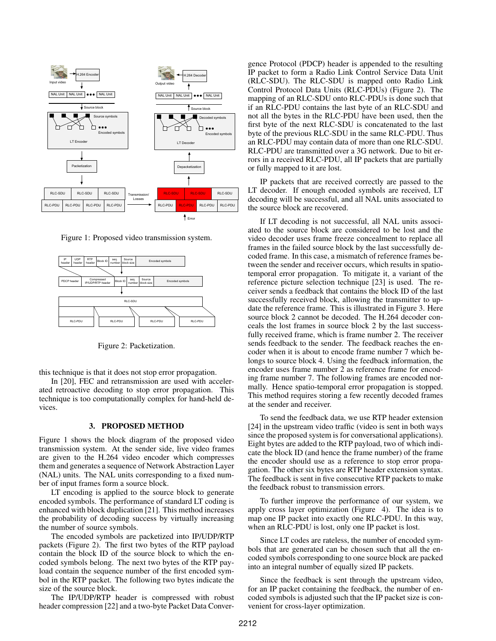

Figure 1: Proposed video transmission system.



Figure 2: Packetization.

this technique is that it does not stop error propagation.

ated retroactive decoding to stop error propagation. This technique is too computationally complex for hand-held de-In [20], FEC and retransmission are used with accelervices.

#### Depacketization 3. PROPOSED METHOD

(NAL) units. The NAL units corresponding to a fixed numare given to the H.264 video encoder which compresses them and generates a sequence of Network Abstraction Layer transmission system. At the sender side, live video frames Figure 1 shows the block diagram of the proposed video ber of input frames form a source block.

the probability of decoding success by virtually increasing the number of source symbols. LT encoding is applied to the source block to generate encoded symbols. The performance of standard LT coding is enhanced with block duplication [21]. This method increases

The encoded symbols are packetized into IP/UDP/RTP packets (Figure 2). The first two bytes of the RTP payload contain the block ID of the source block to which the encoded symbols belong. The next two bytes of the RTP payload contain the sequence number of the first encoded symbol in the RTP packet. The following two bytes indicate the size of the source block.

The IP/UDP/RTP header is compressed with robust header compression [22] and a two-byte Packet Data Convergence Protocol (PDCP) header is appended to the resulting IP packet to form a Radio Link Control Service Data Unit (RLC-SDU). The RLC-SDU is mapped onto Radio Link Control Protocol Data Units (RLC-PDUs) (Figure 2). The mapping of an RLC-SDU onto RLC-PDUs is done such that if an RLC-PDU contains the last byte of an RLC-SDU and not all the bytes in the RLC-PDU have been used, then the first byte of the next RLC-SDU is concatenated to the last byte of the previous RLC-SDU in the same RLC-PDU. Thus an RLC-PDU may contain data of more than one RLC-SDU. RLC-PDU are transmitted over a 3G network. Due to bit errors in a received RLC-PDU, all IP packets that are partially or fully mapped to it are lost.

IP packets that are received correctly are passed to the LT decoder. If enough encoded symbols are received, LT decoding will be successful, and all NAL units associated to the source block are recovered.

If LT decoding is not successful, all NAL units associated to the source block are considered to be lost and the video decoder uses frame freeze concealment to replace all frames in the failed source block by the last successfully decoded frame. In this case, a mismatch of reference frames between the sender and receiver occurs, which results in spatiotemporal error propagation. To mitigate it, a variant of the reference picture selection technique [23] is used. The receiver sends a feedback that contains the block ID of the last successfully received block, allowing the transmitter to update the reference frame. This is illustrated in Figure 3. Here source block 2 cannot be decoded. The H.264 decoder conceals the lost frames in source block 2 by the last successfully received frame, which is frame number 2. The receiver sends feedback to the sender. The feedback reaches the encoder when it is about to encode frame number 7 which belongs to source block 4. Using the feedback information, the encoder uses frame number 2 as reference frame for encoding frame number 7. The following frames are encoded normally. Hence spatio-temporal error propagation is stopped. This method requires storing a few recently decoded frames at the sender and receiver.

To send the feedback data, we use RTP header extension [24] in the upstream video traffic (video is sent in both ways since the proposed system is for conversational applications). Eight bytes are added to the RTP payload, two of which indicate the block ID (and hence the frame number) of the frame the encoder should use as a reference to stop error propagation. The other six bytes are RTP header extension syntax. The feedback is sent in five consecutive RTP packets to make the feedback robust to transmission errors.

To further improve the performance of our system, we apply cross layer optimization (Figure 4). The idea is to map one IP packet into exactly one RLC-PDU. In this way, when an RLC-PDU is lost, only one IP packet is lost.

Since LT codes are rateless, the number of encoded symbols that are generated can be chosen such that all the encoded symbols corresponding to one source block are packed into an integral number of equally sized IP packets.

Since the feedback is sent through the upstream video, for an IP packet containing the feedback, the number of encoded symbols is adjusted such that the IP packet size is convenient for cross-layer optimization.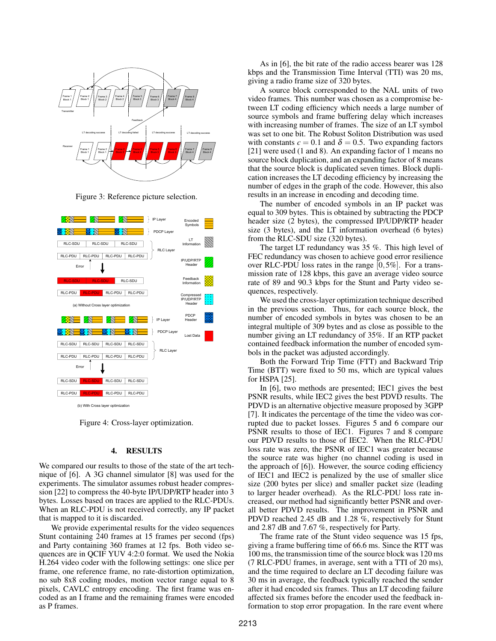

Figure 3: Reference picture selection.



Figure 4: Cross-layer optimization.

## 4. RESULTS

We compared our results to those of the state of the art technique of [6]. A 3G channel simulator [8] was used for the experiments. The simulator assumes robust header compression [22] to compress the 40-byte IP/UDP/RTP header into 3 bytes. Losses based on traces are applied to the RLC-PDUs. When an RLC-PDU is not received correctly, any IP packet that is mapped to it is discarded.

We provide experimental results for the video sequences Stunt containing 240 frames at 15 frames per second (fps) and Party containing 360 frames at 12 fps. Both video sequences are in QCIF YUV 4:2:0 format. We used the Nokia H.264 video coder with the following settings: one slice per frame, one reference frame, no rate-distortion optimization, no sub 8x8 coding modes, motion vector range equal to 8 pixels, CAVLC entropy encoding. The first frame was encoded as an I frame and the remaining frames were encoded as P frames.

As in [6], the bit rate of the radio access bearer was 128 kbps and the Transmission Time Interval (TTI) was 20 ms, giving a radio frame size of 320 bytes.

A source block corresponded to the NAL units of two video frames. This number was chosen as a compromise between LT coding efficiency which needs a large number of source symbols and frame buffering delay which increases with increasing number of frames. The size of an LT symbol was set to one bit. The Robust Soliton Distribution was used with constants  $c = 0.1$  and  $\delta = 0.5$ . Two expanding factors [21] were used (1 and 8). An expanding factor of 1 means no source block duplication, and an expanding factor of 8 means that the source block is duplicated seven times. Block duplication increases the LT decoding efficiency by increasing the number of edges in the graph of the code. However, this also results in an increase in encoding and decoding time.

The number of encoded symbols in an IP packet was equal to 309 bytes. This is obtained by subtracting the PDCP header size (2 bytes), the compressed IP/UDP/RTP header size (3 bytes), and the LT information overhead (6 bytes) from the RLC-SDU size (320 bytes).

The target LT redundancy was 35 %. This high level of FEC redundancy was chosen to achieve good error resilience over RLC-PDU loss rates in the range [0,5%]. For a transmission rate of 128 kbps, this gave an average video source rate of 89 and 90.3 kbps for the Stunt and Party video sequences, respectively.

We used the cross-layer optimization technique described in the previous section. Thus, for each source block, the number of encoded symbols in bytes was chosen to be an integral multiple of 309 bytes and as close as possible to the number giving an LT redundancy of 35%. If an RTP packet contained feedback information the number of encoded symbols in the packet was adjusted accordingly.

Both the Forward Trip Time (FTT) and Backward Trip Time (BTT) were fixed to 50 ms, which are typical values for HSPA [25].

In [6], two methods are presented; IEC1 gives the best PSNR results, while IEC2 gives the best PDVD results. The PDVD is an alternative objective measure proposed by 3GPP [7]. It indicates the percentage of the time the video was corrupted due to packet losses. Figures 5 and 6 compare our PSNR results to those of IEC1. Figures 7 and 8 compare our PDVD results to those of IEC2. When the RLC-PDU loss rate was zero, the PSNR of IEC1 was greater because the source rate was higher (no channel coding is used in the approach of [6]). However, the source coding efficiency of IEC1 and IEC2 is penalized by the use of smaller slice size (200 bytes per slice) and smaller packet size (leading to larger header overhead). As the RLC-PDU loss rate increased, our method had significantly better PSNR and overall better PDVD results. The improvement in PSNR and PDVD reached 2.45 dB and 1.28 %, respectively for Stunt and 2.87 dB and 7.67 %, respectively for Party.

The frame rate of the Stunt video sequence was 15 fps, giving a frame buffering time of 66.6 ms. Since the RTT was 100 ms, the transmission time of the source block was 120 ms (7 RLC-PDU frames, in average, sent with a TTI of 20 ms), and the time required to declare an LT decoding failure was 30 ms in average, the feedback typically reached the sender after it had encoded six frames. Thus an LT decoding failure affected six frames before the encoder used the feedback information to stop error propagation. In the rare event where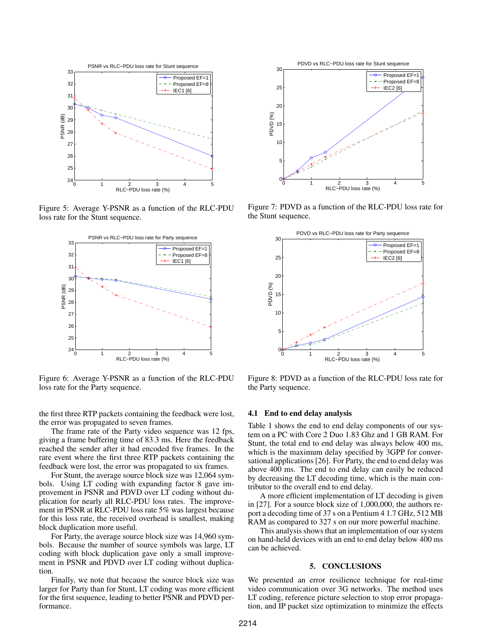

Figure 5: Average Y-PSNR as a function of the RLC-PDU loss rate for the Stunt sequence.



Figure 6: Average Y-PSNR as a function of the RLC-PDU loss rate for the Party sequence.

the first three RTP packets containing the feedback were lost, the error was propagated to seven frames.

The frame rate of the Party video sequence was 12 fps, giving a frame buffering time of 83.3 ms. Here the feedback reached the sender after it had encoded five frames. In the rare event where the first three RTP packets containing the feedback were lost, the error was propagated to six frames.

For Stunt, the average source block size was 12,064 symbols. Using LT coding with expanding factor 8 gave improvement in PSNR and PDVD over LT coding without duplication for nearly all RLC-PDU loss rates. The improvement in PSNR at RLC-PDU loss rate 5% was largest because for this loss rate, the received overhead is smallest, making block duplication more useful.

For Party, the average source block size was 14,960 symbols. Because the number of source symbols was large, LT coding with block duplication gave only a small improvement in PSNR and PDVD over LT coding without duplication.

Finally, we note that because the source block size was larger for Party than for Stunt, LT coding was more efficient for the first sequence, leading to better PSNR and PDVD performance.



Figure 7: PDVD as a function of the RLC-PDU loss rate for the Stunt sequence.



Figure 8: PDVD as a function of the RLC-PDU loss rate for the Party sequence.

## 4.1 End to end delay analysis

Table 1 shows the end to end delay components of our system on a PC with Core 2 Duo 1.83 Ghz and 1 GB RAM. For Stunt, the total end to end delay was always below 400 ms, which is the maximum delay specified by 3GPP for conversational applications [26]. For Party, the end to end delay was above 400 ms. The end to end delay can easily be reduced by decreasing the LT decoding time, which is the main contributor to the overall end to end delay.

A more efficient implementation of LT decoding is given in [27]. For a source block size of 1,000,000, the authors report a decoding time of 37 s on a Pentium 4 1.7 GHz, 512 MB RAM as compared to 327 s on our more powerful machine.

This analysis shows that an implementation of our system on hand-held devices with an end to end delay below 400 ms can be achieved.

## 5. CONCLUSIONS

We presented an error resilience technique for real-time video communication over 3G networks. The method uses LT coding, reference picture selection to stop error propagation, and IP packet size optimization to minimize the effects